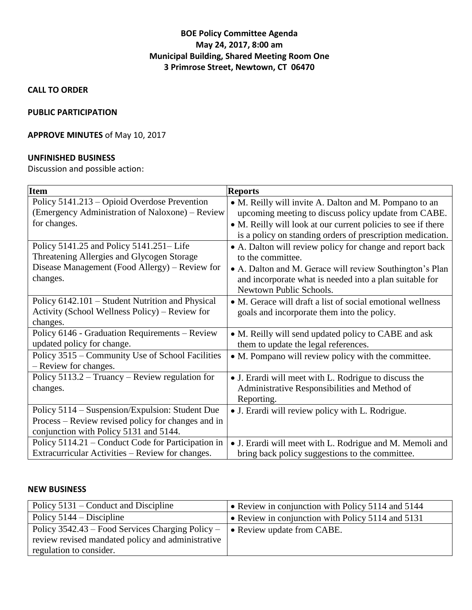# **BOE Policy Committee Agenda May 24, 2017, 8:00 am Municipal Building, Shared Meeting Room One 3 Primrose Street, Newtown, CT 06470**

**CALL TO ORDER**

## **PUBLIC PARTICIPATION**

## **APPROVE MINUTES** of May 10, 2017

## **UNFINISHED BUSINESS**

Discussion and possible action:

| <b>Item</b>                                        | <b>Reports</b>                                                |
|----------------------------------------------------|---------------------------------------------------------------|
| Policy 5141.213 – Opioid Overdose Prevention       | • M. Reilly will invite A. Dalton and M. Pompano to an        |
| (Emergency Administration of Naloxone) – Review    | upcoming meeting to discuss policy update from CABE.          |
| for changes.                                       | • M. Reilly will look at our current policies to see if there |
|                                                    | is a policy on standing orders of prescription medication.    |
| Policy 5141.25 and Policy 5141.251–Life            | • A. Dalton will review policy for change and report back     |
| Threatening Allergies and Glycogen Storage         | to the committee.                                             |
| Disease Management (Food Allergy) – Review for     | • A. Dalton and M. Gerace will review Southington's Plan      |
| changes.                                           | and incorporate what is needed into a plan suitable for       |
|                                                    | Newtown Public Schools.                                       |
| Policy 6142.101 – Student Nutrition and Physical   | • M. Gerace will draft a list of social emotional wellness    |
| Activity (School Wellness Policy) - Review for     | goals and incorporate them into the policy.                   |
| changes.                                           |                                                               |
| Policy 6146 - Graduation Requirements - Review     | • M. Reilly will send updated policy to CABE and ask          |
| updated policy for change.                         | them to update the legal references.                          |
| Policy 3515 – Community Use of School Facilities   | • M. Pompano will review policy with the committee.           |
| - Review for changes.                              |                                                               |
| Policy $5113.2 - Truancy - Review regulation for$  | • J. Erardi will meet with L. Rodrigue to discuss the         |
| changes.                                           | Administrative Responsibilities and Method of                 |
|                                                    | Reporting.                                                    |
| Policy 5114 – Suspension/Expulsion: Student Due    | • J. Erardi will review policy with L. Rodrigue.              |
| Process – Review revised policy for changes and in |                                                               |
| conjunction with Policy 5131 and 5144.             |                                                               |
| Policy 5114.21 – Conduct Code for Participation in | • J. Erardi will meet with L. Rodrigue and M. Memoli and      |
| Extracurricular Activities – Review for changes.   | bring back policy suggestions to the committee.               |

#### **NEW BUSINESS**

| Policy 5131 – Conduct and Discipline              | • Review in conjunction with Policy 5114 and 5144 |
|---------------------------------------------------|---------------------------------------------------|
| Policy $5144 - Discipline$                        | • Review in conjunction with Policy 5114 and 5131 |
| Policy 3542.43 – Food Services Charging Policy –  | $\bullet$ Review update from CABE.                |
| review revised mandated policy and administrative |                                                   |
| regulation to consider.                           |                                                   |